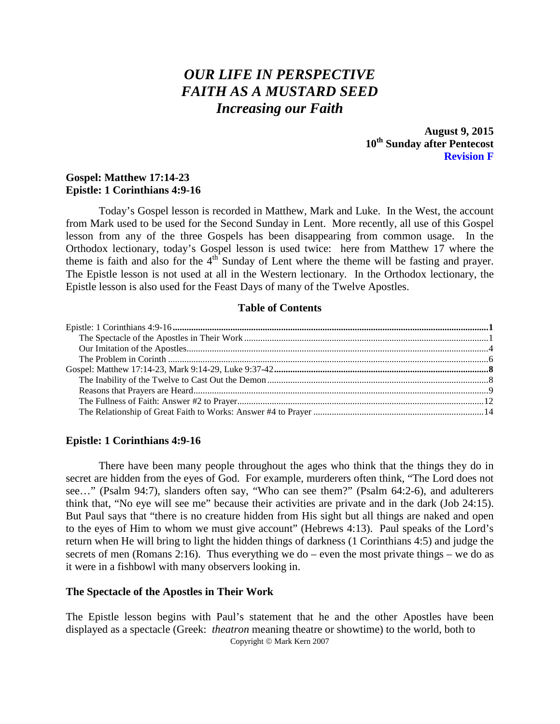# *OUR LIFE IN PERSPECTIVE FAITH AS A MUSTARD SEED Increasing our Faith*

**August 9, 2015 10th Sunday after Pentecost Revision F**

# **Gospel: Matthew 17:14-23 Epistle: 1 Corinthians 4:9-16**

Today's Gospel lesson is recorded in Matthew, Mark and Luke. In the West, the account from Mark used to be used for the Second Sunday in Lent. More recently, all use of this Gospel lesson from any of the three Gospels has been disappearing from common usage. In the Orthodox lectionary, today's Gospel lesson is used twice: here from Matthew 17 where the theme is faith and also for the  $4<sup>th</sup>$  Sunday of Lent where the theme will be fasting and prayer. The Epistle lesson is not used at all in the Western lectionary. In the Orthodox lectionary, the Epistle lesson is also used for the Feast Days of many of the Twelve Apostles.

## **Table of Contents**

# <span id="page-0-0"></span>**Epistle: 1 Corinthians 4:9-16**

There have been many people throughout the ages who think that the things they do in secret are hidden from the eyes of God. For example, murderers often think, "The Lord does not see…" (Psalm 94:7), slanders often say, "Who can see them?" (Psalm 64:2-6), and adulterers think that, "No eye will see me" because their activities are private and in the dark (Job 24:15). But Paul says that "there is no creature hidden from His sight but all things are naked and open to the eyes of Him to whom we must give account" (Hebrews 4:13). Paul speaks of the Lord's return when He will bring to light the hidden things of darkness (1 Corinthians 4:5) and judge the secrets of men (Romans 2:16). Thus everything we do – even the most private things – we do as it were in a fishbowl with many observers looking in.

#### <span id="page-0-1"></span>**The Spectacle of the Apostles in Their Work**

The Epistle lesson begins with Paul's statement that he and the other Apostles have been displayed as a spectacle (Greek: *theatron* meaning theatre or showtime) to the world, both to Copyright © Mark Kern 2007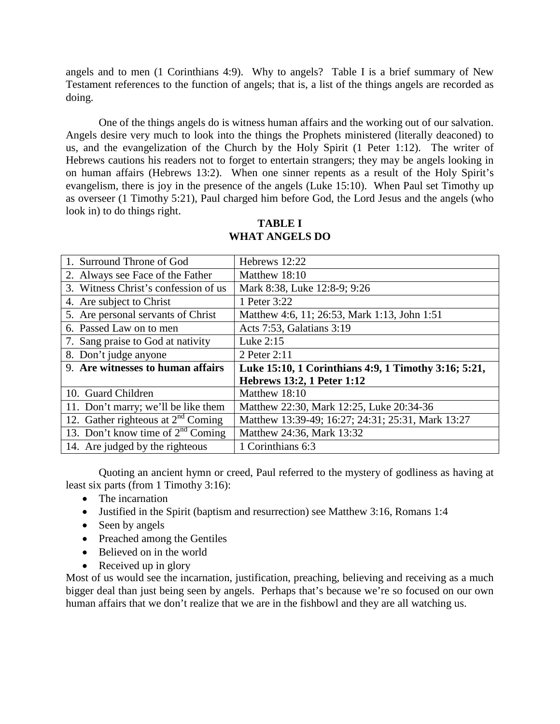angels and to men (1 Corinthians 4:9). Why to angels? Table I is a brief summary of New Testament references to the function of angels; that is, a list of the things angels are recorded as doing.

One of the things angels do is witness human affairs and the working out of our salvation. Angels desire very much to look into the things the Prophets ministered (literally deaconed) to us, and the evangelization of the Church by the Holy Spirit (1 Peter 1:12). The writer of Hebrews cautions his readers not to forget to entertain strangers; they may be angels looking in on human affairs (Hebrews 13:2). When one sinner repents as a result of the Holy Spirit's evangelism, there is joy in the presence of the angels (Luke 15:10). When Paul set Timothy up as overseer (1 Timothy 5:21), Paul charged him before God, the Lord Jesus and the angels (who look in) to do things right.

| 1. Surround Throne of God              | Hebrews 12:22                                        |
|----------------------------------------|------------------------------------------------------|
| 2. Always see Face of the Father       | Matthew 18:10                                        |
| 3. Witness Christ's confession of us   | Mark 8:38, Luke 12:8-9; 9:26                         |
| 4. Are subject to Christ               | 1 Peter 3:22                                         |
| 5. Are personal servants of Christ     | Matthew 4:6, 11; 26:53, Mark 1:13, John 1:51         |
| 6. Passed Law on to men                | Acts 7:53, Galatians 3:19                            |
| 7. Sang praise to God at nativity      | Luke $2:15$                                          |
| 8. Don't judge anyone                  | 2 Peter 2:11                                         |
|                                        |                                                      |
| 9. Are witnesses to human affairs      | Luke 15:10, 1 Corinthians 4:9, 1 Timothy 3:16; 5:21, |
|                                        | <b>Hebrews 13:2, 1 Peter 1:12</b>                    |
| 10. Guard Children                     | Matthew 18:10                                        |
| 11. Don't marry; we'll be like them    | Matthew 22:30, Mark 12:25, Luke 20:34-36             |
| 12. Gather righteous at $2nd$ Coming   | Matthew 13:39-49; 16:27; 24:31; 25:31, Mark 13:27    |
| 13. Don't know time of $2^{nd}$ Coming | Matthew 24:36, Mark 13:32                            |

**TABLE I WHAT ANGELS DO**

Quoting an ancient hymn or creed, Paul referred to the mystery of godliness as having at least six parts (from 1 Timothy 3:16):

- The incarnation
- Justified in the Spirit (baptism and resurrection) see Matthew 3:16, Romans 1:4
- Seen by angels
- Preached among the Gentiles
- Believed on in the world
- Received up in glory

Most of us would see the incarnation, justification, preaching, believing and receiving as a much bigger deal than just being seen by angels. Perhaps that's because we're so focused on our own human affairs that we don't realize that we are in the fishbowl and they are all watching us.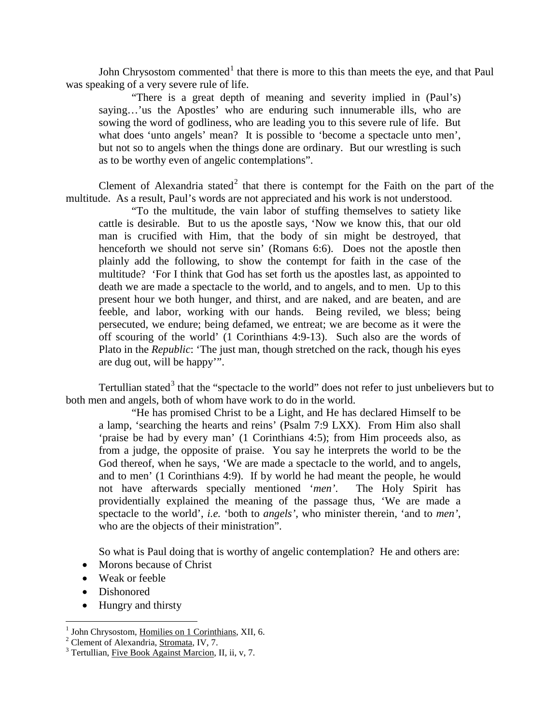John Chrysostom commented<sup>[1](#page-2-0)</sup> that there is more to this than meets the eye, and that Paul was speaking of a very severe rule of life.

"There is a great depth of meaning and severity implied in (Paul's) saying…'us the Apostles' who are enduring such innumerable ills, who are sowing the word of godliness, who are leading you to this severe rule of life. But what does 'unto angels' mean? It is possible to 'become a spectacle unto men', but not so to angels when the things done are ordinary. But our wrestling is such as to be worthy even of angelic contemplations".

Clement of Alexandria stated<sup>[2](#page-2-1)</sup> that there is contempt for the Faith on the part of the multitude. As a result, Paul's words are not appreciated and his work is not understood.

"To the multitude, the vain labor of stuffing themselves to satiety like cattle is desirable. But to us the apostle says, 'Now we know this, that our old man is crucified with Him, that the body of sin might be destroyed, that henceforth we should not serve sin' (Romans 6:6). Does not the apostle then plainly add the following, to show the contempt for faith in the case of the multitude? 'For I think that God has set forth us the apostles last, as appointed to death we are made a spectacle to the world, and to angels, and to men. Up to this present hour we both hunger, and thirst, and are naked, and are beaten, and are feeble, and labor, working with our hands. Being reviled, we bless; being persecuted, we endure; being defamed, we entreat; we are become as it were the off scouring of the world' (1 Corinthians 4:9-13). Such also are the words of Plato in the *Republic*: 'The just man, though stretched on the rack, though his eyes are dug out, will be happy'".

Tertullian stated<sup>[3](#page-2-2)</sup> that the "spectacle to the world" does not refer to just unbelievers but to both men and angels, both of whom have work to do in the world.

"He has promised Christ to be a Light, and He has declared Himself to be a lamp, 'searching the hearts and reins' (Psalm 7:9 LXX). From Him also shall 'praise be had by every man' (1 Corinthians 4:5); from Him proceeds also, as from a judge, the opposite of praise. You say he interprets the world to be the God thereof, when he says, 'We are made a spectacle to the world, and to angels, and to men' (1 Corinthians 4:9). If by world he had meant the people, he would not have afterwards specially mentioned '*men'*. The Holy Spirit has providentially explained the meaning of the passage thus, 'We are made a spectacle to the world', *i.e.* 'both to *angels'*, who minister therein, 'and to *men'*, who are the objects of their ministration".

So what is Paul doing that is worthy of angelic contemplation? He and others are:

- Morons because of Christ
- Weak or feeble
- Dishonored
- Hungry and thirsty

<span id="page-2-1"></span><span id="page-2-0"></span><sup>&</sup>lt;sup>1</sup> John Chrysostom, <u>Homilies on 1 Corinthians</u>, XII, 6.<br><sup>2</sup> Clement of Alexandria, <u>Stromata</u>, IV, 7.<br><sup>3</sup> Tertullian, Five Book Against Marcion, II, ii, v, 7.

<span id="page-2-2"></span>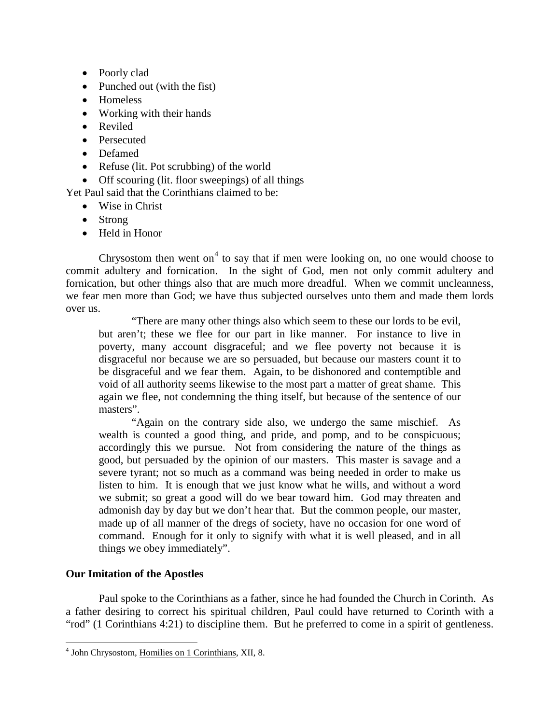- Poorly clad
- Punched out (with the fist)
- Homeless
- Working with their hands
- Reviled
- Persecuted
- Defamed
- Refuse (lit. Pot scrubbing) of the world
- Off scouring (lit. floor sweepings) of all things

Yet Paul said that the Corinthians claimed to be:

- Wise in Christ
- Strong
- Held in Honor

Chrysostom then went on<sup>[4](#page-3-1)</sup> to say that if men were looking on, no one would choose to commit adultery and fornication. In the sight of God, men not only commit adultery and fornication, but other things also that are much more dreadful. When we commit uncleanness, we fear men more than God; we have thus subjected ourselves unto them and made them lords over us.

"There are many other things also which seem to these our lords to be evil, but aren't; these we flee for our part in like manner. For instance to live in poverty, many account disgraceful; and we flee poverty not because it is disgraceful nor because we are so persuaded, but because our masters count it to be disgraceful and we fear them. Again, to be dishonored and contemptible and void of all authority seems likewise to the most part a matter of great shame. This again we flee, not condemning the thing itself, but because of the sentence of our masters".

"Again on the contrary side also, we undergo the same mischief. As wealth is counted a good thing, and pride, and pomp, and to be conspicuous; accordingly this we pursue. Not from considering the nature of the things as good, but persuaded by the opinion of our masters. This master is savage and a severe tyrant; not so much as a command was being needed in order to make us listen to him. It is enough that we just know what he wills, and without a word we submit; so great a good will do we bear toward him. God may threaten and admonish day by day but we don't hear that. But the common people, our master, made up of all manner of the dregs of society, have no occasion for one word of command. Enough for it only to signify with what it is well pleased, and in all things we obey immediately".

# <span id="page-3-0"></span>**Our Imitation of the Apostles**

Paul spoke to the Corinthians as a father, since he had founded the Church in Corinth. As a father desiring to correct his spiritual children, Paul could have returned to Corinth with a "rod" (1 Corinthians 4:21) to discipline them. But he preferred to come in a spirit of gentleness.

<span id="page-3-1"></span> <sup>4</sup> John Chrysostom, Homilies on 1 Corinthians, XII, 8.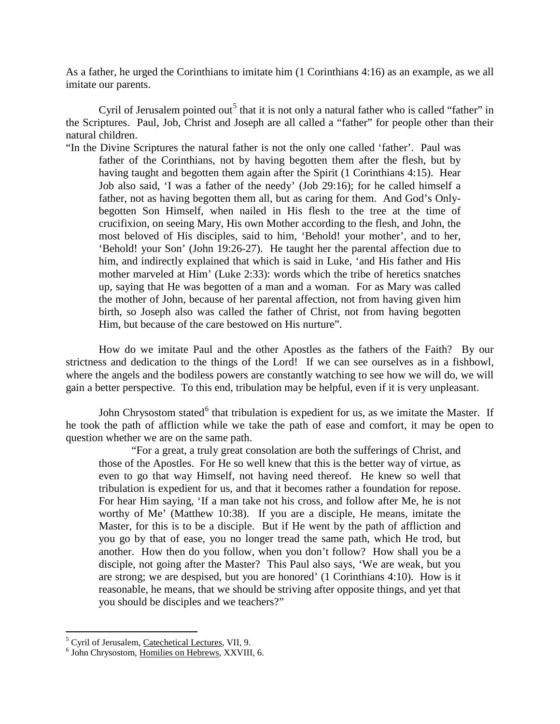As a father, he urged the Corinthians to imitate him (1 Corinthians 4:16) as an example, as we all imitate our parents.

Cyril of Jerusalem pointed out<sup>[5](#page-4-0)</sup> that it is not only a natural father who is called "father" in the Scriptures. Paul, Job, Christ and Joseph are all called a "father" for people other than their natural children.

"In the Divine Scriptures the natural father is not the only one called 'father'. Paul was father of the Corinthians, not by having begotten them after the flesh, but by having taught and begotten them again after the Spirit (1 Corinthians 4:15). Hear Job also said, 'I was a father of the needy' (Job 29:16); for he called himself a father, not as having begotten them all, but as caring for them. And God's Onlybegotten Son Himself, when nailed in His flesh to the tree at the time of crucifixion, on seeing Mary, His own Mother according to the flesh, and John, the most beloved of His disciples, said to him, 'Behold! your mother', and to her, 'Behold! your Son' (John 19:26-27). He taught her the parental affection due to him, and indirectly explained that which is said in Luke, 'and His father and His mother marveled at Him' (Luke 2:33): words which the tribe of heretics snatches up, saying that He was begotten of a man and a woman. For as Mary was called the mother of John, because of her parental affection, not from having given him birth, so Joseph also was called the father of Christ, not from having begotten Him, but because of the care bestowed on His nurture".

How do we imitate Paul and the other Apostles as the fathers of the Faith? By our strictness and dedication to the things of the Lord! If we can see ourselves as in a fishbowl, where the angels and the bodiless powers are constantly watching to see how we will do, we will gain a better perspective. To this end, tribulation may be helpful, even if it is very unpleasant.

John Chrysostom stated<sup>[6](#page-4-1)</sup> that tribulation is expedient for us, as we imitate the Master. If he took the path of affliction while we take the path of ease and comfort, it may be open to question whether we are on the same path.

"For a great, a truly great consolation are both the sufferings of Christ, and those of the Apostles. For He so well knew that this is the better way of virtue, as even to go that way Himself, not having need thereof. He knew so well that tribulation is expedient for us, and that it becomes rather a foundation for repose. For hear Him saying, 'If a man take not his cross, and follow after Me, he is not worthy of Me' (Matthew 10:38). If you are a disciple, He means, imitate the Master, for this is to be a disciple. But if He went by the path of affliction and you go by that of ease, you no longer tread the same path, which He trod, but another. How then do you follow, when you don't follow? How shall you be a disciple, not going after the Master? This Paul also says, 'We are weak, but you are strong; we are despised, but you are honored' (1 Corinthians 4:10). How is it reasonable, he means, that we should be striving after opposite things, and yet that you should be disciples and we teachers?"

<span id="page-4-0"></span> $<sup>5</sup>$  Cyril of Jerusalem, Catechetical Lectures, VII, 9.  $<sup>6</sup>$  John Chrysostom, Homilies on Hebrews, XXVIII, 6.</sup></sup>

<span id="page-4-1"></span>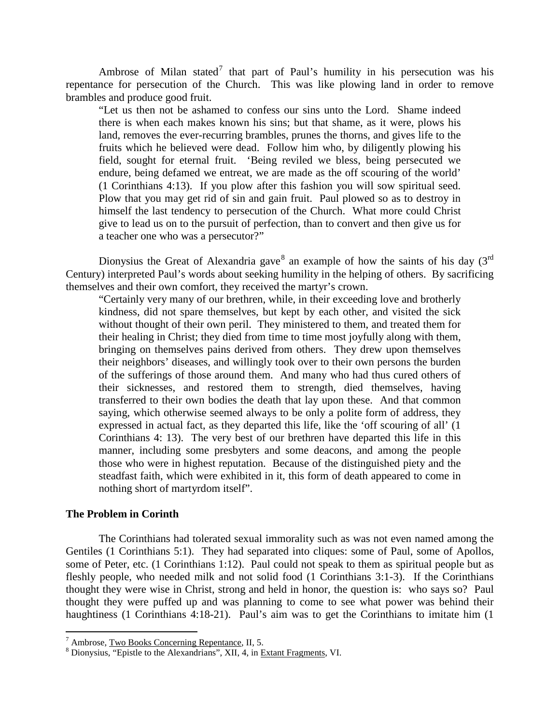Ambrose of Milan stated<sup>[7](#page-5-1)</sup> that part of Paul's humility in his persecution was his repentance for persecution of the Church. This was like plowing land in order to remove brambles and produce good fruit.

"Let us then not be ashamed to confess our sins unto the Lord. Shame indeed there is when each makes known his sins; but that shame, as it were, plows his land, removes the ever-recurring brambles, prunes the thorns, and gives life to the fruits which he believed were dead. Follow him who, by diligently plowing his field, sought for eternal fruit. 'Being reviled we bless, being persecuted we endure, being defamed we entreat, we are made as the off scouring of the world' (1 Corinthians 4:13). If you plow after this fashion you will sow spiritual seed. Plow that you may get rid of sin and gain fruit. Paul plowed so as to destroy in himself the last tendency to persecution of the Church. What more could Christ give to lead us on to the pursuit of perfection, than to convert and then give us for a teacher one who was a persecutor?"

Dionysius the Great of Alexandria gave<sup>[8](#page-5-2)</sup> an example of how the saints of his day ( $3<sup>rd</sup>$ Century) interpreted Paul's words about seeking humility in the helping of others. By sacrificing themselves and their own comfort, they received the martyr's crown.

"Certainly very many of our brethren, while, in their exceeding love and brotherly kindness, did not spare themselves, but kept by each other, and visited the sick without thought of their own peril. They ministered to them, and treated them for their healing in Christ; they died from time to time most joyfully along with them, bringing on themselves pains derived from others. They drew upon themselves their neighbors' diseases, and willingly took over to their own persons the burden of the sufferings of those around them. And many who had thus cured others of their sicknesses, and restored them to strength, died themselves, having transferred to their own bodies the death that lay upon these. And that common saying, which otherwise seemed always to be only a polite form of address, they expressed in actual fact, as they departed this life, like the 'off scouring of all' (1 Corinthians 4: 13). The very best of our brethren have departed this life in this manner, including some presbyters and some deacons, and among the people those who were in highest reputation. Because of the distinguished piety and the steadfast faith, which were exhibited in it, this form of death appeared to come in nothing short of martyrdom itself".

# <span id="page-5-0"></span>**The Problem in Corinth**

The Corinthians had tolerated sexual immorality such as was not even named among the Gentiles (1 Corinthians 5:1). They had separated into cliques: some of Paul, some of Apollos, some of Peter, etc. (1 Corinthians 1:12). Paul could not speak to them as spiritual people but as fleshly people, who needed milk and not solid food (1 Corinthians 3:1-3). If the Corinthians thought they were wise in Christ, strong and held in honor, the question is: who says so? Paul thought they were puffed up and was planning to come to see what power was behind their haughtiness (1 Corinthians 4:18-21). Paul's aim was to get the Corinthians to imitate him (1)

<span id="page-5-2"></span><span id="page-5-1"></span><sup>&</sup>lt;sup>7</sup> Ambrose, <u>Two Books Concerning Repentance</u>, II, 5.<br><sup>8</sup> Dionysius, "Epistle to the Alexandrians", XII, 4, in <u>Extant Fragments</u>, VI.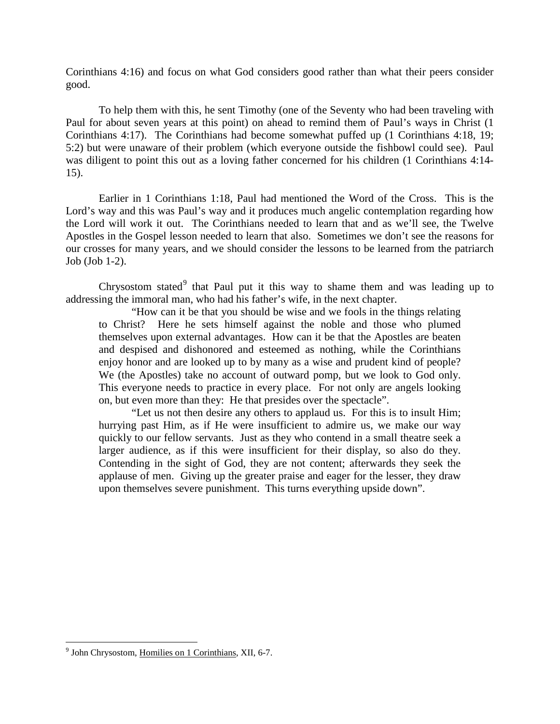Corinthians 4:16) and focus on what God considers good rather than what their peers consider good.

To help them with this, he sent Timothy (one of the Seventy who had been traveling with Paul for about seven years at this point) on ahead to remind them of Paul's ways in Christ (1 Corinthians 4:17). The Corinthians had become somewhat puffed up (1 Corinthians 4:18, 19; 5:2) but were unaware of their problem (which everyone outside the fishbowl could see). Paul was diligent to point this out as a loving father concerned for his children (1 Corinthians 4:14- 15).

Earlier in 1 Corinthians 1:18, Paul had mentioned the Word of the Cross. This is the Lord's way and this was Paul's way and it produces much angelic contemplation regarding how the Lord will work it out. The Corinthians needed to learn that and as we'll see, the Twelve Apostles in the Gospel lesson needed to learn that also. Sometimes we don't see the reasons for our crosses for many years, and we should consider the lessons to be learned from the patriarch Job (Job 1-2).

Chrysostom stated<sup>[9](#page-6-0)</sup> that Paul put it this way to shame them and was leading up to addressing the immoral man, who had his father's wife, in the next chapter.

"How can it be that you should be wise and we fools in the things relating to Christ? Here he sets himself against the noble and those who plumed themselves upon external advantages. How can it be that the Apostles are beaten and despised and dishonored and esteemed as nothing, while the Corinthians enjoy honor and are looked up to by many as a wise and prudent kind of people? We (the Apostles) take no account of outward pomp, but we look to God only. This everyone needs to practice in every place. For not only are angels looking on, but even more than they: He that presides over the spectacle".

"Let us not then desire any others to applaud us. For this is to insult Him; hurrying past Him, as if He were insufficient to admire us, we make our way quickly to our fellow servants. Just as they who contend in a small theatre seek a larger audience, as if this were insufficient for their display, so also do they. Contending in the sight of God, they are not content; afterwards they seek the applause of men. Giving up the greater praise and eager for the lesser, they draw upon themselves severe punishment. This turns everything upside down".

<span id="page-6-0"></span><sup>&</sup>lt;sup>9</sup> John Chrysostom, Homilies on 1 Corinthians, XII, 6-7.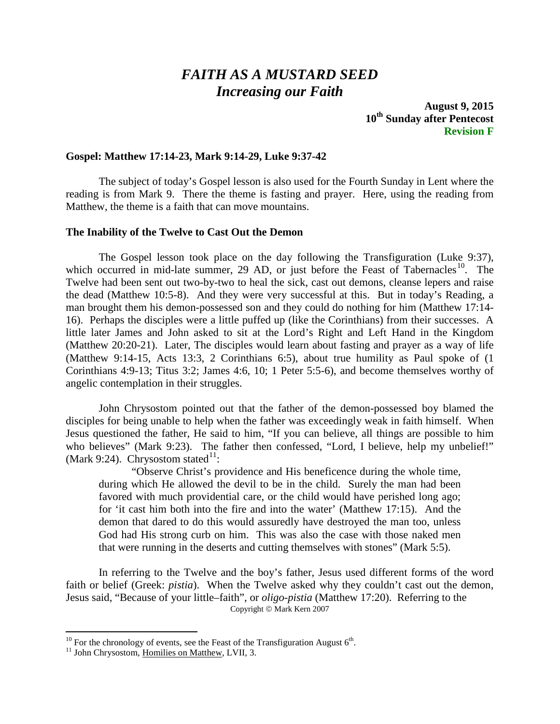# *FAITH AS A MUSTARD SEED Increasing our Faith*

**August 9, 2015 10th Sunday after Pentecost Revision F**

# <span id="page-7-0"></span>**Gospel: Matthew 17:14-23, Mark 9:14-29, Luke 9:37-42**

The subject of today's Gospel lesson is also used for the Fourth Sunday in Lent where the reading is from Mark 9. There the theme is fasting and prayer. Here, using the reading from Matthew, the theme is a faith that can move mountains.

### <span id="page-7-1"></span>**The Inability of the Twelve to Cast Out the Demon**

The Gospel lesson took place on the day following the Transfiguration (Luke 9:37), which occurred in mid-late summer, 29 AD, or just before the Feast of Tabernacles<sup>[10](#page-7-2)</sup>. The Twelve had been sent out two-by-two to heal the sick, cast out demons, cleanse lepers and raise the dead (Matthew 10:5-8). And they were very successful at this. But in today's Reading, a man brought them his demon-possessed son and they could do nothing for him (Matthew 17:14- 16). Perhaps the disciples were a little puffed up (like the Corinthians) from their successes. A little later James and John asked to sit at the Lord's Right and Left Hand in the Kingdom (Matthew 20:20-21). Later, The disciples would learn about fasting and prayer as a way of life (Matthew 9:14-15, Acts 13:3, 2 Corinthians 6:5), about true humility as Paul spoke of (1 Corinthians 4:9-13; Titus 3:2; James 4:6, 10; 1 Peter 5:5-6), and become themselves worthy of angelic contemplation in their struggles.

John Chrysostom pointed out that the father of the demon-possessed boy blamed the disciples for being unable to help when the father was exceedingly weak in faith himself. When Jesus questioned the father, He said to him, "If you can believe, all things are possible to him who believes" (Mark 9:23). The father then confessed, "Lord, I believe, help my unbelief!" (Mark 9:24). Chrysostom stated $11$ :

"Observe Christ's providence and His beneficence during the whole time, during which He allowed the devil to be in the child. Surely the man had been favored with much providential care, or the child would have perished long ago; for 'it cast him both into the fire and into the water' (Matthew 17:15). And the demon that dared to do this would assuredly have destroyed the man too, unless God had His strong curb on him. This was also the case with those naked men that were running in the deserts and cutting themselves with stones" (Mark 5:5).

In referring to the Twelve and the boy's father, Jesus used different forms of the word faith or belief (Greek: *pistia*). When the Twelve asked why they couldn't cast out the demon, Jesus said, "Because of your little–faith", or *oligo-pistia* (Matthew 17:20). Referring to the Copyright © Mark Kern 2007

<span id="page-7-2"></span><sup>&</sup>lt;sup>10</sup> For the chronology of events, see the Feast of the Transfiguration August  $6^{th}$ .<br><sup>11</sup> John Chrysostom, Homilies on Matthew, LVII, 3.

<span id="page-7-3"></span>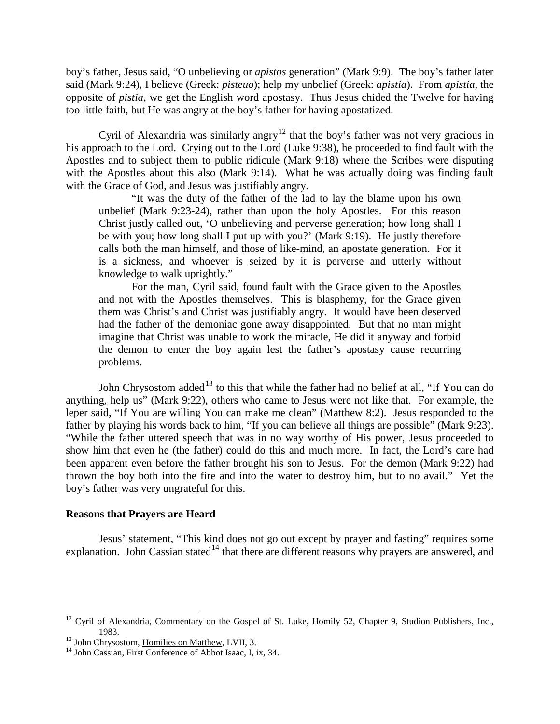boy's father, Jesus said, "O unbelieving or *apistos* generation" (Mark 9:9). The boy's father later said (Mark 9:24), I believe (Greek: *pisteuo*); help my unbelief (Greek: *apistia*). From *apistia*, the opposite of *pistia*, we get the English word apostasy. Thus Jesus chided the Twelve for having too little faith, but He was angry at the boy's father for having apostatized.

Cyril of Alexandria was similarly angry<sup>[12](#page-8-1)</sup> that the boy's father was not very gracious in his approach to the Lord. Crying out to the Lord (Luke 9:38), he proceeded to find fault with the Apostles and to subject them to public ridicule (Mark 9:18) where the Scribes were disputing with the Apostles about this also (Mark 9:14). What he was actually doing was finding fault with the Grace of God, and Jesus was justifiably angry.

"It was the duty of the father of the lad to lay the blame upon his own unbelief (Mark 9:23-24), rather than upon the holy Apostles. For this reason Christ justly called out, 'O unbelieving and perverse generation; how long shall I be with you; how long shall I put up with you?' (Mark 9:19). He justly therefore calls both the man himself, and those of like-mind, an apostate generation. For it is a sickness, and whoever is seized by it is perverse and utterly without knowledge to walk uprightly."

For the man, Cyril said, found fault with the Grace given to the Apostles and not with the Apostles themselves. This is blasphemy, for the Grace given them was Christ's and Christ was justifiably angry. It would have been deserved had the father of the demoniac gone away disappointed. But that no man might imagine that Christ was unable to work the miracle, He did it anyway and forbid the demon to enter the boy again lest the father's apostasy cause recurring problems.

John Chrysostom added<sup>[13](#page-8-2)</sup> to this that while the father had no belief at all, "If You can do anything, help us" (Mark 9:22), others who came to Jesus were not like that. For example, the leper said, "If You are willing You can make me clean" (Matthew 8:2). Jesus responded to the father by playing his words back to him, "If you can believe all things are possible" (Mark 9:23). "While the father uttered speech that was in no way worthy of His power, Jesus proceeded to show him that even he (the father) could do this and much more. In fact, the Lord's care had been apparent even before the father brought his son to Jesus. For the demon (Mark 9:22) had thrown the boy both into the fire and into the water to destroy him, but to no avail." Yet the boy's father was very ungrateful for this.

#### <span id="page-8-0"></span>**Reasons that Prayers are Heard**

Jesus' statement, "This kind does not go out except by prayer and fasting" requires some explanation. John Cassian stated<sup>[14](#page-8-3)</sup> that there are different reasons why prayers are answered, and

<span id="page-8-1"></span><sup>&</sup>lt;sup>12</sup> Cyril of Alexandria, Commentary on the Gospel of St. Luke, Homily 52, Chapter 9, Studion Publishers, Inc., 1983.

<span id="page-8-2"></span><sup>&</sup>lt;sup>13</sup> John Chrysostom, <u>Homilies on Matthew</u>, LVII, 3.<br><sup>14</sup> John Cassian, First Conference of Abbot Isaac, I, ix, 34.

<span id="page-8-3"></span>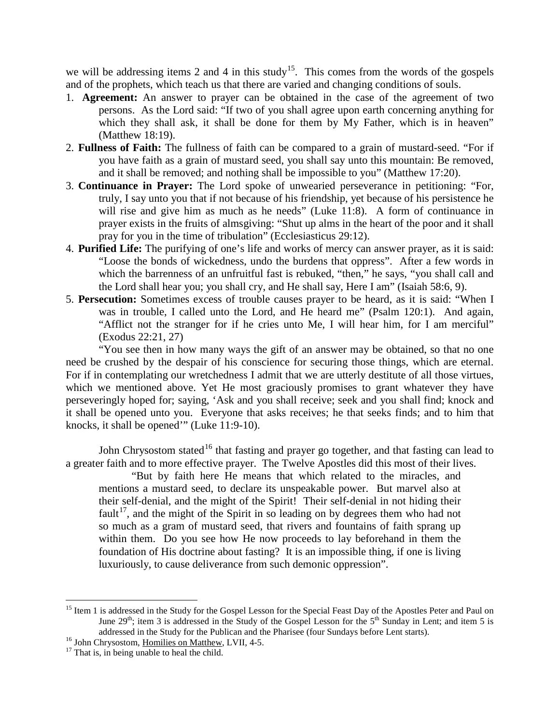we will be addressing items 2 and 4 in this study<sup>15</sup>. This comes from the words of the gospels and of the prophets, which teach us that there are varied and changing conditions of souls.

- 1. **Agreement:** An answer to prayer can be obtained in the case of the agreement of two persons. As the Lord said: "If two of you shall agree upon earth concerning anything for which they shall ask, it shall be done for them by My Father, which is in heaven" (Matthew 18:19).
- 2. **Fullness of Faith:** The fullness of faith can be compared to a grain of mustard-seed. "For if you have faith as a grain of mustard seed, you shall say unto this mountain: Be removed, and it shall be removed; and nothing shall be impossible to you" (Matthew 17:20).
- 3. **Continuance in Prayer:** The Lord spoke of unwearied perseverance in petitioning: "For, truly, I say unto you that if not because of his friendship, yet because of his persistence he will rise and give him as much as he needs" (Luke 11:8). A form of continuance in prayer exists in the fruits of almsgiving: "Shut up alms in the heart of the poor and it shall pray for you in the time of tribulation" (Ecclesiasticus 29:12).
- 4. **Purified Life:** The purifying of one's life and works of mercy can answer prayer, as it is said: "Loose the bonds of wickedness, undo the burdens that oppress". After a few words in which the barrenness of an unfruitful fast is rebuked, "then," he says, "you shall call and the Lord shall hear you; you shall cry, and He shall say, Here I am" (Isaiah 58:6, 9).
- 5. **Persecution:** Sometimes excess of trouble causes prayer to be heard, as it is said: "When I was in trouble, I called unto the Lord, and He heard me" (Psalm 120:1). And again, "Afflict not the stranger for if he cries unto Me, I will hear him, for I am merciful" (Exodus 22:21, 27)

"You see then in how many ways the gift of an answer may be obtained, so that no one need be crushed by the despair of his conscience for securing those things, which are eternal. For if in contemplating our wretchedness I admit that we are utterly destitute of all those virtues, which we mentioned above. Yet He most graciously promises to grant whatever they have perseveringly hoped for; saying, 'Ask and you shall receive; seek and you shall find; knock and it shall be opened unto you. Everyone that asks receives; he that seeks finds; and to him that knocks, it shall be opened'" (Luke 11:9-10).

John Chrysostom stated<sup>[16](#page-9-1)</sup> that fasting and prayer go together, and that fasting can lead to a greater faith and to more effective prayer. The Twelve Apostles did this most of their lives.

"But by faith here He means that which related to the miracles, and mentions a mustard seed, to declare its unspeakable power. But marvel also at their self-denial, and the might of the Spirit! Their self-denial in not hiding their fault<sup>17</sup>, and the might of the Spirit in so leading on by degrees them who had not so much as a gram of mustard seed, that rivers and fountains of faith sprang up within them. Do you see how He now proceeds to lay beforehand in them the foundation of His doctrine about fasting? It is an impossible thing, if one is living luxuriously, to cause deliverance from such demonic oppression".

<span id="page-9-0"></span><sup>&</sup>lt;sup>15</sup> Item 1 is addressed in the Study for the Gospel Lesson for the Special Feast Day of the Apostles Peter and Paul on June 29<sup>th</sup>; item 3 is addressed in the Study of the Gospel Lesson for the  $5<sup>th</sup>$  Sunday in Lent; and item 5 is addressed in the Study for the Publican and the Pharisee (four Sundays before Lent starts). <sup>16</sup> John Chrysostom, <u>Homilies on Matthew</u>, LVII, 4-5. <sup>17</sup> That is, in being unable to heal the child.

<span id="page-9-1"></span>

<span id="page-9-2"></span>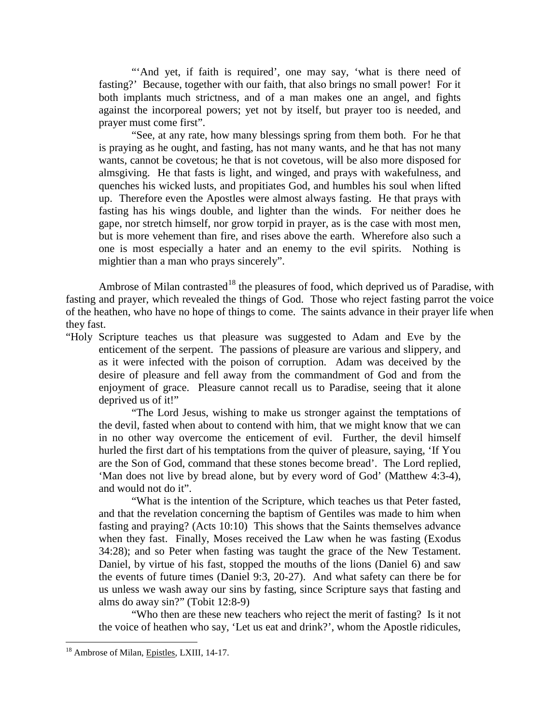"And yet, if faith is required', one may say, 'what is there need of fasting?' Because, together with our faith, that also brings no small power! For it both implants much strictness, and of a man makes one an angel, and fights against the incorporeal powers; yet not by itself, but prayer too is needed, and prayer must come first".

"See, at any rate, how many blessings spring from them both. For he that is praying as he ought, and fasting, has not many wants, and he that has not many wants, cannot be covetous; he that is not covetous, will be also more disposed for almsgiving. He that fasts is light, and winged, and prays with wakefulness, and quenches his wicked lusts, and propitiates God, and humbles his soul when lifted up. Therefore even the Apostles were almost always fasting. He that prays with fasting has his wings double, and lighter than the winds. For neither does he gape, nor stretch himself, nor grow torpid in prayer, as is the case with most men, but is more vehement than fire, and rises above the earth. Wherefore also such a one is most especially a hater and an enemy to the evil spirits. Nothing is mightier than a man who prays sincerely".

Ambrose of Milan contrasted<sup>[18](#page-10-0)</sup> the pleasures of food, which deprived us of Paradise, with fasting and prayer, which revealed the things of God. Those who reject fasting parrot the voice of the heathen, who have no hope of things to come. The saints advance in their prayer life when they fast.

"Holy Scripture teaches us that pleasure was suggested to Adam and Eve by the enticement of the serpent. The passions of pleasure are various and slippery, and as it were infected with the poison of corruption. Adam was deceived by the desire of pleasure and fell away from the commandment of God and from the enjoyment of grace. Pleasure cannot recall us to Paradise, seeing that it alone deprived us of it!"

"The Lord Jesus, wishing to make us stronger against the temptations of the devil, fasted when about to contend with him, that we might know that we can in no other way overcome the enticement of evil. Further, the devil himself hurled the first dart of his temptations from the quiver of pleasure, saying, 'If You are the Son of God, command that these stones become bread'. The Lord replied, 'Man does not live by bread alone, but by every word of God' (Matthew 4:3-4), and would not do it".

"What is the intention of the Scripture, which teaches us that Peter fasted, and that the revelation concerning the baptism of Gentiles was made to him when fasting and praying? (Acts 10:10) This shows that the Saints themselves advance when they fast. Finally, Moses received the Law when he was fasting (Exodus 34:28); and so Peter when fasting was taught the grace of the New Testament. Daniel, by virtue of his fast, stopped the mouths of the lions (Daniel 6) and saw the events of future times (Daniel 9:3, 20-27). And what safety can there be for us unless we wash away our sins by fasting, since Scripture says that fasting and alms do away sin?" (Tobit 12:8-9)

"Who then are these new teachers who reject the merit of fasting? Is it not the voice of heathen who say, 'Let us eat and drink?', whom the Apostle ridicules,

<span id="page-10-0"></span><sup>&</sup>lt;sup>18</sup> Ambrose of Milan, Epistles, LXIII, 14-17.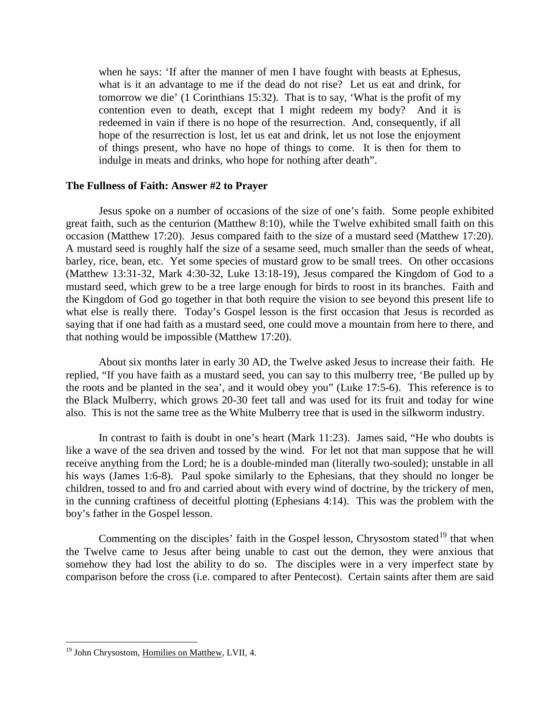when he says: 'If after the manner of men I have fought with beasts at Ephesus, what is it an advantage to me if the dead do not rise? Let us eat and drink, for tomorrow we die' (1 Corinthians 15:32). That is to say, 'What is the profit of my contention even to death, except that I might redeem my body? And it is redeemed in vain if there is no hope of the resurrection. And, consequently, if all hope of the resurrection is lost, let us eat and drink, let us not lose the enjoyment of things present, who have no hope of things to come. It is then for them to indulge in meats and drinks, who hope for nothing after death".

# <span id="page-11-0"></span>**The Fullness of Faith: Answer #2 to Prayer**

Jesus spoke on a number of occasions of the size of one's faith. Some people exhibited great faith, such as the centurion (Matthew 8:10), while the Twelve exhibited small faith on this occasion (Matthew 17:20). Jesus compared faith to the size of a mustard seed (Matthew 17:20). A mustard seed is roughly half the size of a sesame seed, much smaller than the seeds of wheat, barley, rice, bean, etc. Yet some species of mustard grow to be small trees. On other occasions (Matthew 13:31-32, Mark 4:30-32, Luke 13:18-19), Jesus compared the Kingdom of God to a mustard seed, which grew to be a tree large enough for birds to roost in its branches. Faith and the Kingdom of God go together in that both require the vision to see beyond this present life to what else is really there. Today's Gospel lesson is the first occasion that Jesus is recorded as saying that if one had faith as a mustard seed, one could move a mountain from here to there, and that nothing would be impossible (Matthew 17:20).

About six months later in early 30 AD, the Twelve asked Jesus to increase their faith. He replied, "If you have faith as a mustard seed, you can say to this mulberry tree, 'Be pulled up by the roots and be planted in the sea', and it would obey you" (Luke 17:5-6). This reference is to the Black Mulberry, which grows 20-30 feet tall and was used for its fruit and today for wine also. This is not the same tree as the White Mulberry tree that is used in the silkworm industry.

In contrast to faith is doubt in one's heart (Mark 11:23). James said, "He who doubts is like a wave of the sea driven and tossed by the wind. For let not that man suppose that he will receive anything from the Lord; he is a double-minded man (literally two-souled); unstable in all his ways (James 1:6-8). Paul spoke similarly to the Ephesians, that they should no longer be children, tossed to and fro and carried about with every wind of doctrine, by the trickery of men, in the cunning craftiness of deceitful plotting (Ephesians 4:14). This was the problem with the boy's father in the Gospel lesson.

Commenting on the disciples' faith in the Gospel lesson, Chrysostom stated<sup>[19](#page-11-1)</sup> that when the Twelve came to Jesus after being unable to cast out the demon, they were anxious that somehow they had lost the ability to do so. The disciples were in a very imperfect state by comparison before the cross (i.e. compared to after Pentecost). Certain saints after them are said

<span id="page-11-1"></span><sup>&</sup>lt;sup>19</sup> John Chrysostom, Homilies on Matthew, LVII, 4.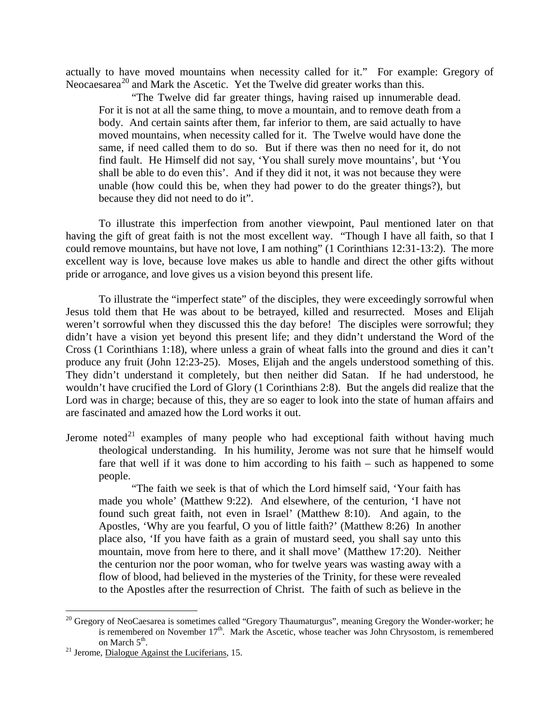actually to have moved mountains when necessity called for it." For example: Gregory of Neocaesarea<sup>[20](#page-12-0)</sup> and Mark the Ascetic. Yet the Twelve did greater works than this.

"The Twelve did far greater things, having raised up innumerable dead. For it is not at all the same thing, to move a mountain, and to remove death from a body. And certain saints after them, far inferior to them, are said actually to have moved mountains, when necessity called for it. The Twelve would have done the same, if need called them to do so. But if there was then no need for it, do not find fault. He Himself did not say, 'You shall surely move mountains', but 'You shall be able to do even this'. And if they did it not, it was not because they were unable (how could this be, when they had power to do the greater things?), but because they did not need to do it".

To illustrate this imperfection from another viewpoint, Paul mentioned later on that having the gift of great faith is not the most excellent way. "Though I have all faith, so that I could remove mountains, but have not love, I am nothing" (1 Corinthians 12:31-13:2). The more excellent way is love, because love makes us able to handle and direct the other gifts without pride or arrogance, and love gives us a vision beyond this present life.

To illustrate the "imperfect state" of the disciples, they were exceedingly sorrowful when Jesus told them that He was about to be betrayed, killed and resurrected. Moses and Elijah weren't sorrowful when they discussed this the day before! The disciples were sorrowful; they didn't have a vision yet beyond this present life; and they didn't understand the Word of the Cross (1 Corinthians 1:18), where unless a grain of wheat falls into the ground and dies it can't produce any fruit (John 12:23-25). Moses, Elijah and the angels understood something of this. They didn't understand it completely, but then neither did Satan. If he had understood, he wouldn't have crucified the Lord of Glory (1 Corinthians 2:8). But the angels did realize that the Lord was in charge; because of this, they are so eager to look into the state of human affairs and are fascinated and amazed how the Lord works it out.

Jerome noted<sup>[21](#page-12-1)</sup> examples of many people who had exceptional faith without having much theological understanding. In his humility, Jerome was not sure that he himself would fare that well if it was done to him according to his faith – such as happened to some people.

"The faith we seek is that of which the Lord himself said, 'Your faith has made you whole' (Matthew 9:22). And elsewhere, of the centurion, 'I have not found such great faith, not even in Israel' (Matthew 8:10). And again, to the Apostles, 'Why are you fearful, O you of little faith?' (Matthew 8:26) In another place also, 'If you have faith as a grain of mustard seed, you shall say unto this mountain, move from here to there, and it shall move' (Matthew 17:20). Neither the centurion nor the poor woman, who for twelve years was wasting away with a flow of blood, had believed in the mysteries of the Trinity, for these were revealed to the Apostles after the resurrection of Christ. The faith of such as believe in the

<span id="page-12-0"></span><sup>&</sup>lt;sup>20</sup> Gregory of NeoCaesarea is sometimes called "Gregory Thaumaturgus", meaning Gregory the Wonder-worker; he is remembered on November  $17<sup>th</sup>$ . Mark the Ascetic, whose teacher was John Chrysostom, is remembered on March  $5<sup>th</sup>$ .

<span id="page-12-1"></span> $^{21}$  Jerome, Dialogue Against the Luciferians, 15.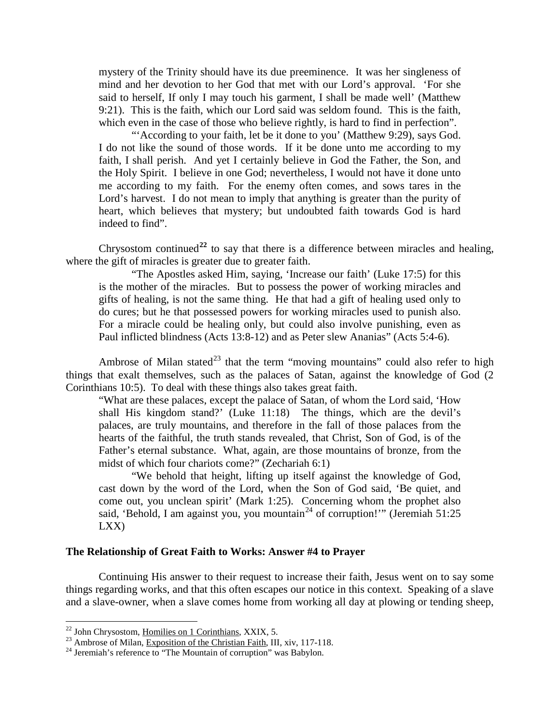mystery of the Trinity should have its due preeminence. It was her singleness of mind and her devotion to her God that met with our Lord's approval. 'For she said to herself, If only I may touch his garment, I shall be made well' (Matthew 9:21). This is the faith, which our Lord said was seldom found. This is the faith, which even in the case of those who believe rightly, is hard to find in perfection".

"'According to your faith, let be it done to you' (Matthew 9:29), says God. I do not like the sound of those words. If it be done unto me according to my faith, I shall perish. And yet I certainly believe in God the Father, the Son, and the Holy Spirit. I believe in one God; nevertheless, I would not have it done unto me according to my faith. For the enemy often comes, and sows tares in the Lord's harvest. I do not mean to imply that anything is greater than the purity of heart, which believes that mystery; but undoubted faith towards God is hard indeed to find".

Chrysostom continued<sup>[22](#page-13-1)</sup> to say that there is a difference between miracles and healing, where the gift of miracles is greater due to greater faith.

"The Apostles asked Him, saying, 'Increase our faith' (Luke 17:5) for this is the mother of the miracles. But to possess the power of working miracles and gifts of healing, is not the same thing. He that had a gift of healing used only to do cures; but he that possessed powers for working miracles used to punish also. For a miracle could be healing only, but could also involve punishing, even as Paul inflicted blindness (Acts 13:8-12) and as Peter slew Ananias" (Acts 5:4-6).

Ambrose of Milan stated<sup>[23](#page-13-2)</sup> that the term "moving mountains" could also refer to high things that exalt themselves, such as the palaces of Satan, against the knowledge of God (2 Corinthians 10:5). To deal with these things also takes great faith.

"What are these palaces, except the palace of Satan, of whom the Lord said, 'How shall His kingdom stand?' (Luke 11:18) The things, which are the devil's palaces, are truly mountains, and therefore in the fall of those palaces from the hearts of the faithful, the truth stands revealed, that Christ, Son of God, is of the Father's eternal substance. What, again, are those mountains of bronze, from the midst of which four chariots come?" (Zechariah 6:1)

"We behold that height, lifting up itself against the knowledge of God, cast down by the word of the Lord, when the Son of God said, 'Be quiet, and come out, you unclean spirit' (Mark 1:25). Concerning whom the prophet also said, 'Behold, I am against you, you mountain<sup>[24](#page-13-3)</sup> of corruption!'" (Jeremiah 51:25 LXX)

## <span id="page-13-0"></span>**The Relationship of Great Faith to Works: Answer #4 to Prayer**

Continuing His answer to their request to increase their faith, Jesus went on to say some things regarding works, and that this often escapes our notice in this context. Speaking of a slave and a slave-owner, when a slave comes home from working all day at plowing or tending sheep,

<span id="page-13-2"></span><span id="page-13-1"></span><sup>&</sup>lt;sup>22</sup> John Chrysostom, <u>Homilies on 1 Corinthians</u>, XXIX, 5.<br><sup>23</sup> Ambrose of Milan, <u>Exposition of the Christian Faith</u>, III, xiv, 117-118.<br><sup>24</sup> Jeremiah's reference to "The Mountain of corruption" was Babylon.

<span id="page-13-3"></span>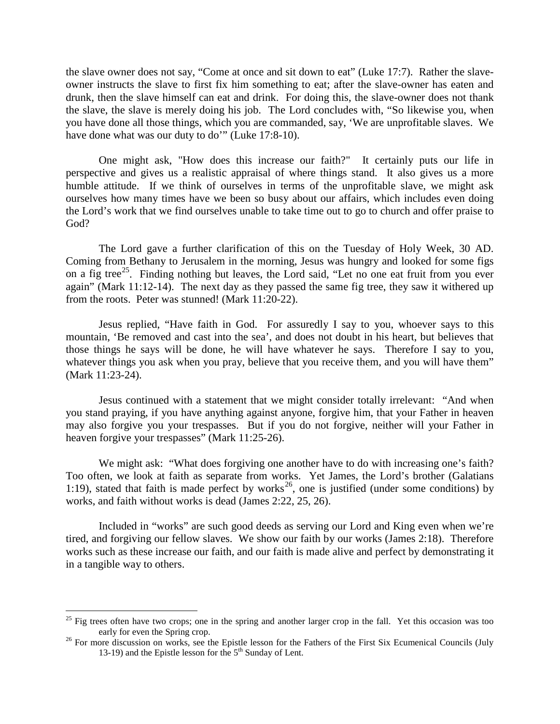the slave owner does not say, "Come at once and sit down to eat" (Luke 17:7). Rather the slaveowner instructs the slave to first fix him something to eat; after the slave-owner has eaten and drunk, then the slave himself can eat and drink. For doing this, the slave-owner does not thank the slave, the slave is merely doing his job. The Lord concludes with, "So likewise you, when you have done all those things, which you are commanded, say, 'We are unprofitable slaves. We have done what was our duty to do" (Luke 17:8-10).

One might ask, "How does this increase our faith?" It certainly puts our life in perspective and gives us a realistic appraisal of where things stand. It also gives us a more humble attitude. If we think of ourselves in terms of the unprofitable slave, we might ask ourselves how many times have we been so busy about our affairs, which includes even doing the Lord's work that we find ourselves unable to take time out to go to church and offer praise to God?

The Lord gave a further clarification of this on the Tuesday of Holy Week, 30 AD. Coming from Bethany to Jerusalem in the morning, Jesus was hungry and looked for some figs on a fig tree<sup>25</sup>. Finding nothing but leaves, the Lord said, "Let no one eat fruit from you ever again" (Mark 11:12-14). The next day as they passed the same fig tree, they saw it withered up from the roots. Peter was stunned! (Mark 11:20-22).

Jesus replied, "Have faith in God. For assuredly I say to you, whoever says to this mountain, 'Be removed and cast into the sea', and does not doubt in his heart, but believes that those things he says will be done, he will have whatever he says. Therefore I say to you, whatever things you ask when you pray, believe that you receive them, and you will have them" (Mark 11:23-24).

Jesus continued with a statement that we might consider totally irrelevant: "And when you stand praying, if you have anything against anyone, forgive him, that your Father in heaven may also forgive you your trespasses. But if you do not forgive, neither will your Father in heaven forgive your trespasses" (Mark 11:25-26).

We might ask: "What does forgiving one another have to do with increasing one's faith? Too often, we look at faith as separate from works. Yet James, the Lord's brother (Galatians 1:19), stated that faith is made perfect by works<sup>26</sup>, one is justified (under some conditions) by works, and faith without works is dead (James 2:22, 25, 26).

Included in "works" are such good deeds as serving our Lord and King even when we're tired, and forgiving our fellow slaves. We show our faith by our works (James 2:18). Therefore works such as these increase our faith, and our faith is made alive and perfect by demonstrating it in a tangible way to others.

<span id="page-14-0"></span> $25$  Fig trees often have two crops; one in the spring and another larger crop in the fall. Yet this occasion was too early for even the Spring crop.

<span id="page-14-1"></span><sup>&</sup>lt;sup>26</sup> For more discussion on works, see the Epistle lesson for the Fathers of the First Six Ecumenical Councils (July 13-19) and the Epistle lesson for the  $5<sup>th</sup>$  Sunday of Lent.